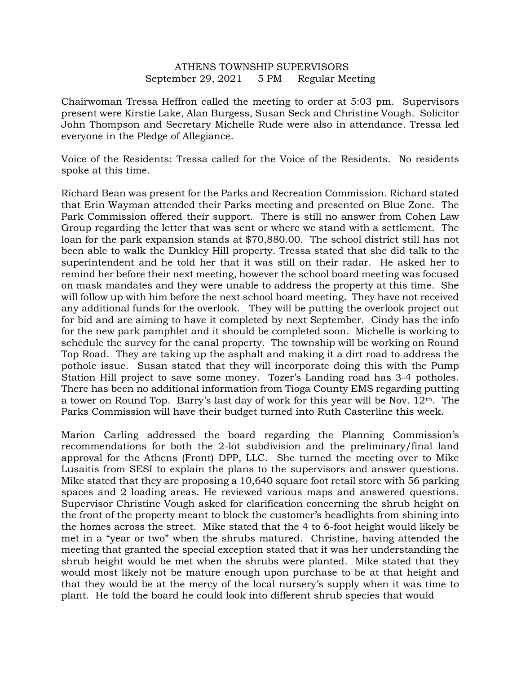## ATHENS TOWNSHIP SUPERVISORS September 29, 2021 5 PM Regular Meeting

Chairwoman Tressa Heffron called the meeting to order at 5:03 pm. Supervisors present were Kirstie Lake, Alan Burgess, Susan Seck and Christine Vough. Solicitor John Thompson and Secretary Michelle Rude were also in attendance. Tressa led everyone in the Pledge of Allegiance.

Voice of the Residents: Tressa called for the Voice of the Residents. No residents spoke at this time.

Richard Bean was present for the Parks and Recreation Commission. Richard stated that Erin Wayman attended their Parks meeting and presented on Blue Zone. The Park Commission offered their support. There is still no answer from Cohen Law Group regarding the letter that was sent or where we stand with a settlement. The loan for the park expansion stands at \$70,880.00. The school district still has not been able to walk the Dunkley Hill property. Tressa stated that she did talk to the superintendent and he told her that it was still on their radar. He asked her to remind her before their next meeting, however the school board meeting was focused on mask mandates and they were unable to address the property at this time. She will follow up with him before the next school board meeting. They have not received any additional funds for the overlook. They will be putting the overlook project out for bid and are aiming to have it completed by next September. Cindy has the info for the new park pamphlet and it should be completed soon. Michelle is working to schedule the survey for the canal property. The township will be working on Round Top Road. They are taking up the asphalt and making it a dirt road to address the pothole issue. Susan stated that they will incorporate doing this with the Pump Station Hill project to save some money. Tozer's Landing road has 3-4 potholes. There has been no additional information from Tioga County EMS regarding putting a tower on Round Top. Barry's last day of work for this year will be Nov.  $12<sup>th</sup>$ . The Parks Commission will have their budget turned into Ruth Casterline this week.

Marion Carling addressed the board regarding the Planning Commission's recommendations for both the 2-lot subdivision and the preliminary/final land approval for the Athens (Front) DPP, LLC. She turned the meeting over to Mike Lusaitis from SESI to explain the plans to the supervisors and answer questions. Mike stated that they are proposing a 10,640 square foot retail store with 56 parking spaces and 2 loading areas. He reviewed various maps and answered questions. Supervisor Christine Vough asked for clarification concerning the shrub height on the front of the property meant to block the customer's headlights from shining into the homes across the street. Mike stated that the 4 to 6-foot height would likely be met in a "year or two" when the shrubs matured. Christine, having attended the meeting that granted the special exception stated that it was her understanding the shrub height would be met when the shrubs were planted. Mike stated that they would most likely not be mature enough upon purchase to be at that height and that they would be at the mercy of the local nursery's supply when it was time to plant. He told the board he could look into different shrub species that would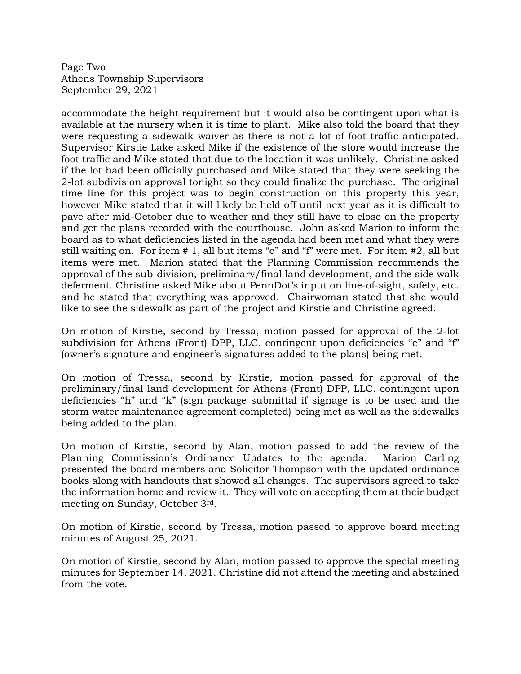Page Two Athens Township Supervisors September 29, 2021

accommodate the height requirement but it would also be contingent upon what is available at the nursery when it is time to plant. Mike also told the board that they were requesting a sidewalk waiver as there is not a lot of foot traffic anticipated. Supervisor Kirstie Lake asked Mike if the existence of the store would increase the foot traffic and Mike stated that due to the location it was unlikely. Christine asked if the lot had been officially purchased and Mike stated that they were seeking the 2-lot subdivision approval tonight so they could finalize the purchase. The original time line for this project was to begin construction on this property this year, however Mike stated that it will likely be held off until next year as it is difficult to pave after mid-October due to weather and they still have to close on the property and get the plans recorded with the courthouse. John asked Marion to inform the board as to what deficiencies listed in the agenda had been met and what they were still waiting on. For item # 1, all but items "e" and "f" were met. For item #2, all but items were met. Marion stated that the Planning Commission recommends the approval of the sub-division, preliminary/final land development, and the side walk deferment. Christine asked Mike about PennDot's input on line-of-sight, safety, etc. and he stated that everything was approved. Chairwoman stated that she would like to see the sidewalk as part of the project and Kirstie and Christine agreed.

On motion of Kirstie, second by Tressa, motion passed for approval of the 2-lot subdivision for Athens (Front) DPP, LLC. contingent upon deficiencies "e" and "f" (owner's signature and engineer's signatures added to the plans) being met.

On motion of Tressa, second by Kirstie, motion passed for approval of the preliminary/final land development for Athens (Front) DPP, LLC. contingent upon deficiencies "h" and "k" (sign package submittal if signage is to be used and the storm water maintenance agreement completed) being met as well as the sidewalks being added to the plan.

On motion of Kirstie, second by Alan, motion passed to add the review of the Planning Commission's Ordinance Updates to the agenda. Marion Carling presented the board members and Solicitor Thompson with the updated ordinance books along with handouts that showed all changes. The supervisors agreed to take the information home and review it. They will vote on accepting them at their budget meeting on Sunday, October 3rd.

On motion of Kirstie, second by Tressa, motion passed to approve board meeting minutes of August 25, 2021.

On motion of Kirstie, second by Alan, motion passed to approve the special meeting minutes for September 14, 2021. Christine did not attend the meeting and abstained from the vote.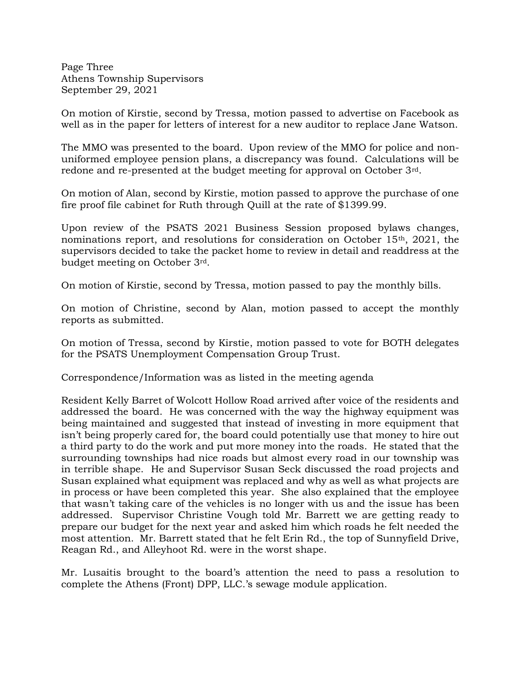Page Three Athens Township Supervisors September 29, 2021

On motion of Kirstie, second by Tressa, motion passed to advertise on Facebook as well as in the paper for letters of interest for a new auditor to replace Jane Watson.

The MMO was presented to the board. Upon review of the MMO for police and nonuniformed employee pension plans, a discrepancy was found. Calculations will be redone and re-presented at the budget meeting for approval on October 3rd.

On motion of Alan, second by Kirstie, motion passed to approve the purchase of one fire proof file cabinet for Ruth through Quill at the rate of \$1399.99.

Upon review of the PSATS 2021 Business Session proposed bylaws changes, nominations report, and resolutions for consideration on October 15th, 2021, the supervisors decided to take the packet home to review in detail and readdress at the budget meeting on October 3rd.

On motion of Kirstie, second by Tressa, motion passed to pay the monthly bills.

On motion of Christine, second by Alan, motion passed to accept the monthly reports as submitted.

On motion of Tressa, second by Kirstie, motion passed to vote for BOTH delegates for the PSATS Unemployment Compensation Group Trust.

Correspondence/Information was as listed in the meeting agenda

Resident Kelly Barret of Wolcott Hollow Road arrived after voice of the residents and addressed the board. He was concerned with the way the highway equipment was being maintained and suggested that instead of investing in more equipment that isn't being properly cared for, the board could potentially use that money to hire out a third party to do the work and put more money into the roads. He stated that the surrounding townships had nice roads but almost every road in our township was in terrible shape. He and Supervisor Susan Seck discussed the road projects and Susan explained what equipment was replaced and why as well as what projects are in process or have been completed this year. She also explained that the employee that wasn't taking care of the vehicles is no longer with us and the issue has been addressed. Supervisor Christine Vough told Mr. Barrett we are getting ready to prepare our budget for the next year and asked him which roads he felt needed the most attention. Mr. Barrett stated that he felt Erin Rd., the top of Sunnyfield Drive, Reagan Rd., and Alleyhoot Rd. were in the worst shape.

Mr. Lusaitis brought to the board's attention the need to pass a resolution to complete the Athens (Front) DPP, LLC.'s sewage module application.